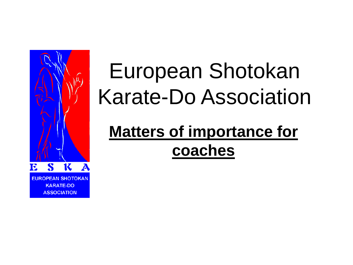

## European Shotokan Karate-Do Association

#### **Matters of importance for coaches**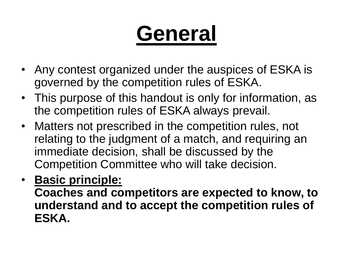#### **General**

- Any contest organized under the auspices of ESKA is governed by the competition rules of ESKA.
- This purpose of this handout is only for information, as the competition rules of ESKA always prevail.
- Matters not prescribed in the competition rules, not relating to the judgment of a match, and requiring an immediate decision, shall be discussed by the Competition Committee who will take decision.

#### • **Basic principle: Coaches and competitors are expected to know, to understand and to accept the competition rules of ESKA.**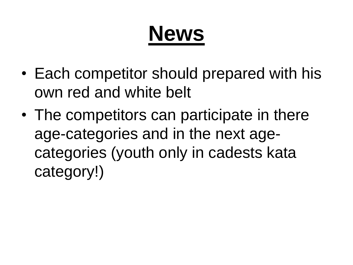### **News**

- Each competitor should prepared with his own red and white belt
- The competitors can participate in there age-categories and in the next agecategories (youth only in cadests kata category!)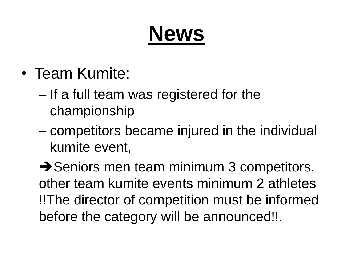#### **News**

- Team Kumite:
	- If a full team was registered for the championship
	- competitors became injured in the individual kumite event,

 $\rightarrow$  Seniors men team minimum 3 competitors, other team kumite events minimum 2 athletes !!The director of competition must be informed before the category will be announced!!.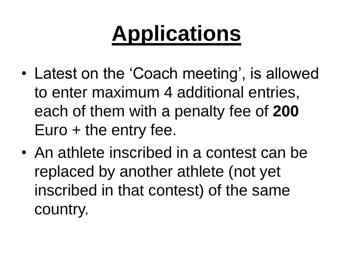## **Applications**

- Latest on the 'Coach meeting', is allowed to enter maximum 4 additional entries, each of them with a penalty fee of **200**  $Euro + the entry fee.$
- An athlete inscribed in a contest can be replaced by another athlete (not yet inscribed in that contest) of the same country.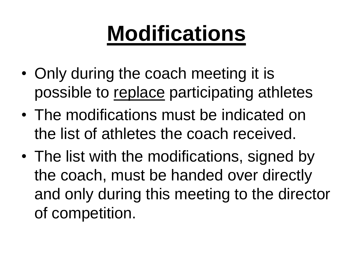## **Modifications**

- Only during the coach meeting it is possible to replace participating athletes
- The modifications must be indicated on the list of athletes the coach received.
- The list with the modifications, signed by the coach, must be handed over directly and only during this meeting to the director of competition.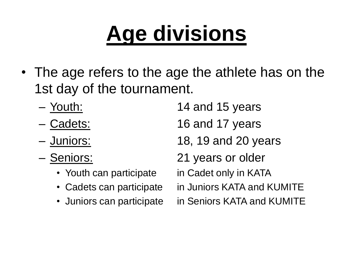# **Age divisions**

- The age refers to the age the athlete has on the 1st day of the tournament.
	- Youth: 14 and 15 years
	-
	-
	- - Youth can participate in Cadet only in KATA
		-
		-

– Cadets: 16 and 17 years – Juniors: 18, 19 and 20 years – Seniors: 21 years or older • Cadets can participate in Juniors KATA and KUMITE • Juniors can participate in Seniors KATA and KUMITE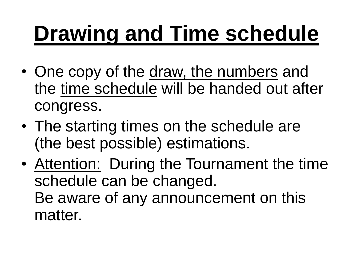# **Drawing and Time schedule**

- One copy of the draw, the numbers and the time schedule will be handed out after congress.
- The starting times on the schedule are (the best possible) estimations.
- Attention: During the Tournament the time schedule can be changed. Be aware of any announcement on this matter.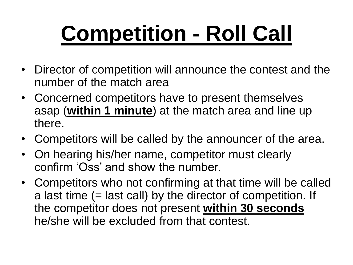# **Competition - Roll Call**

- Director of competition will announce the contest and the number of the match area
- Concerned competitors have to present themselves asap (**within 1 minute**) at the match area and line up there.
- Competitors will be called by the announcer of the area.
- On hearing his/her name, competitor must clearly confirm 'Oss' and show the number.
- Competitors who not confirming at that time will be called a last time (= last call) by the director of competition. If the competitor does not present **within 30 seconds**  he/she will be excluded from that contest.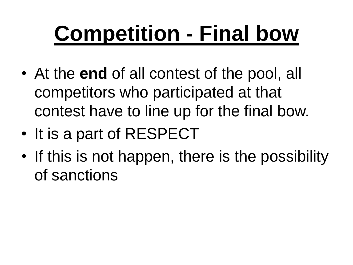## **Competition - Final bow**

- At the **end** of all contest of the pool, all competitors who participated at that contest have to line up for the final bow.
- It is a part of RESPECT
- If this is not happen, there is the possibility of sanctions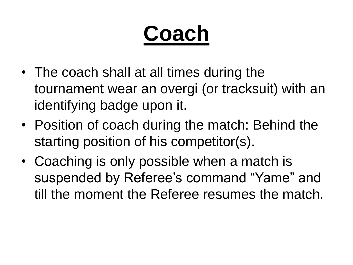# **Coach**

- The coach shall at all times during the tournament wear an overgi (or tracksuit) with an identifying badge upon it.
- Position of coach during the match: Behind the starting position of his competitor(s).
- Coaching is only possible when a match is suspended by Referee's command "Yame" and till the moment the Referee resumes the match.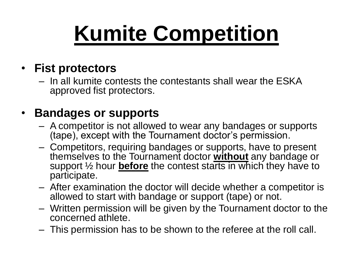# **Kumite Competition**

#### • **Fist protectors**

– In all kumite contests the contestants shall wear the ESKA approved fist protectors.

#### • **Bandages or supports**

- A competitor is not allowed to wear any bandages or supports (tape), except with the Tournament doctor's permission.
- Competitors, requiring bandages or supports, have to present themselves to the Tournament doctor **without** any bandage or support ½ hour **before** the contest starts in which they have to participate.
- After examination the doctor will decide whether a competitor is allowed to start with bandage or support (tape) or not.
- Written permission will be given by the Tournament doctor to the concerned athlete.
- This permission has to be shown to the referee at the roll call.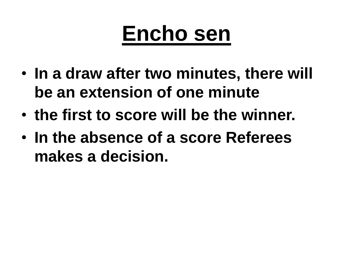#### **Encho sen**

- **In a draw after two minutes, there will be an extension of one minute**
- **the first to score will be the winner.**
- **In the absence of a score Referees makes a decision.**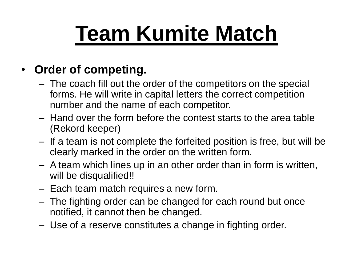## **Team Kumite Match**

#### • **Order of competing.**

- The coach fill out the order of the competitors on the special forms. He will write in capital letters the correct competition number and the name of each competitor.
- Hand over the form before the contest starts to the area table (Rekord keeper)
- If a team is not complete the forfeited position is free, but will be clearly marked in the order on the written form.
- A team which lines up in an other order than in form is written, will be disqualified!!
- Each team match requires a new form.
- The fighting order can be changed for each round but once notified, it cannot then be changed.
- Use of a reserve constitutes a change in fighting order.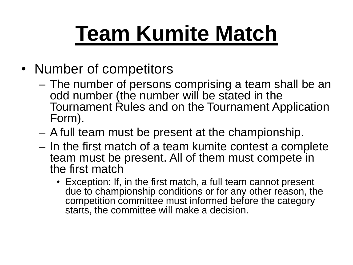## **Team Kumite Match**

- Number of competitors
	- The number of persons comprising a team shall be an odd number (the number will be stated in the Tournament Rules and on the Tournament Application Form).
	- A full team must be present at the championship.
	- In the first match of a team kumite contest a complete team must be present. All of them must compete in the first match
		- Exception: If, in the first match, a full team cannot present due to championship conditions or for any other reason, the competition committee must informed before the category starts, the committee will make a decision.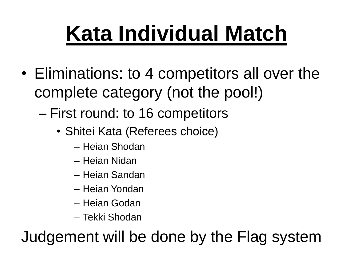- Eliminations: to 4 competitors all over the complete category (not the pool!)
	- First round: to 16 competitors
		- Shitei Kata (Referees choice)
			- Heian Shodan
			- Heian Nidan
			- Heian Sandan
			- Heian Yondan
			- Heian Godan
			- Tekki Shodan

Judgement will be done by the Flag system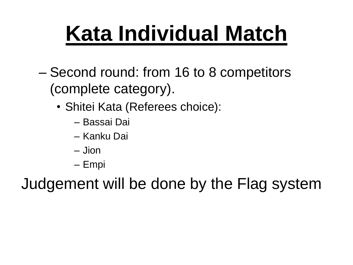- Second round: from 16 to 8 competitors (complete category).
	- Shitei Kata (Referees choice):
		- Bassai Dai
		- Kanku Dai
		- Jion
		- Empi

Judgement will be done by the Flag system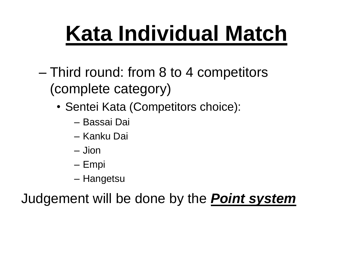- Third round: from 8 to 4 competitors (complete category)
	- Sentei Kata (Competitors choice):
		- Bassai Dai
		- Kanku Dai
		- Jion
		- Empi
		- Hangetsu

Judgement will be done by the *Point system*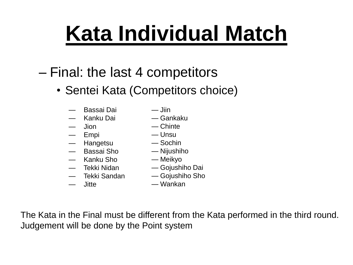#### – Final: the last 4 competitors

- Sentei Kata (Competitors choice)
	- Bassai Dai
	- Kanku Dai
	- Jion
	- Empi
	- Hangetsu Sochin
	- Bassai Sho
	- Kanku Sho
	- Tekki Nidan
	- Tekki Sandan
	- Jitte
- Wankan
- The Kata in the Final must be different from the Kata performed in the third round. Judgement will be done by the Point system
- Jiin
- Gankaku
- Chinte
	- Unsu
- 
- Nijushiho
- Meikyo
- Gojushiho Dai
- Gojushiho Sho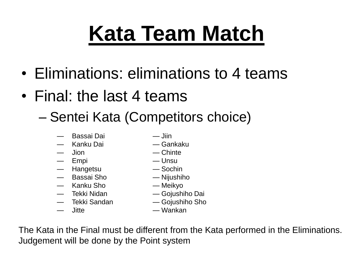### **Kata Team Match**

- Eliminations: eliminations to 4 teams
- Final: the last 4 teams
	- Sentei Kata (Competitors choice)
		- Bassai Dai
		- Kanku Dai
		- Jion
		- Empi
		- Hangetsu
		- Bassai Sho
		- Kanku Sho
		- Tekki Nidan
		- Tekki Sandan
		- Jitte
- Jiin
- Gankaku
	- Chinte
	- Unsu
	- Sochin
	- Nijushiho
		- Meikyo
		- Gojushiho Dai
		- Gojushiho Sho
		- Wankan

The Kata in the Final must be different from the Kata performed in the Eliminations. Judgement will be done by the Point system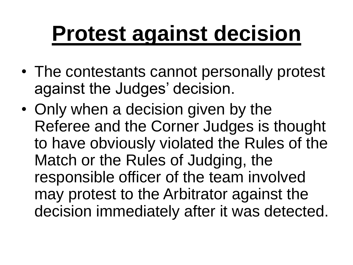#### **Protest against decision**

- The contestants cannot personally protest against the Judges' decision.
- Only when a decision given by the Referee and the Corner Judges is thought to have obviously violated the Rules of the Match or the Rules of Judging, the responsible officer of the team involved may protest to the Arbitrator against the decision immediately after it was detected.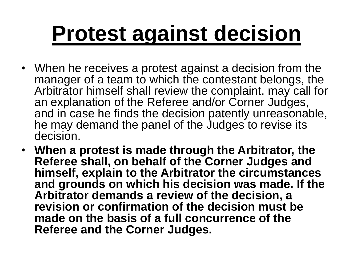#### **Protest against decision**

- When he receives a protest against a decision from the manager of a team to which the contestant belongs, the Arbitrator himself shall review the complaint, may call for an explanation of the Referee and/or Corner Judges, and in case he finds the decision patently unreasonable, he may demand the panel of the Judges to revise its decision.
- **When a protest is made through the Arbitrator, the Referee shall, on behalf of the Corner Judges and himself, explain to the Arbitrator the circumstances and grounds on which his decision was made. If the Arbitrator demands a review of the decision, a revision or confirmation of the decision must be made on the basis of a full concurrence of the Referee and the Corner Judges.**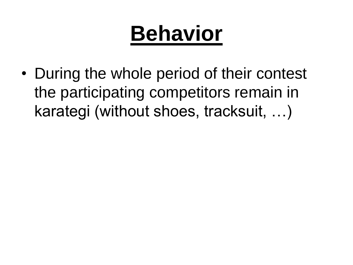#### **Behavior**

• During the whole period of their contest the participating competitors remain in karategi (without shoes, tracksuit, …)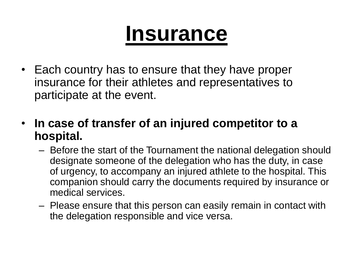#### **Insurance**

- Each country has to ensure that they have proper insurance for their athletes and representatives to participate at the event.
- **In case of transfer of an injured competitor to a hospital.**
	- Before the start of the Tournament the national delegation should designate someone of the delegation who has the duty, in case of urgency, to accompany an injured athlete to the hospital. This companion should carry the documents required by insurance or medical services.
	- Please ensure that this person can easily remain in contact with the delegation responsible and vice versa.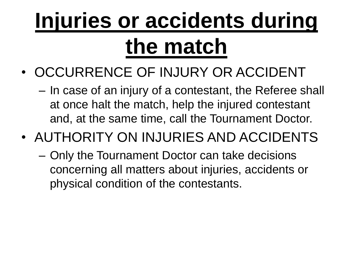# **Injuries or accidents during the match**

- OCCURRENCE OF INJURY OR ACCIDENT
	- In case of an injury of a contestant, the Referee shall at once halt the match, help the injured contestant and, at the same time, call the Tournament Doctor.
- AUTHORITY ON INJURIES AND ACCIDENTS
	- Only the Tournament Doctor can take decisions concerning all matters about injuries, accidents or physical condition of the contestants.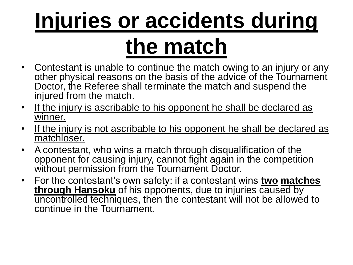#### **Injuries or accidents during the match**

- Contestant is unable to continue the match owing to an injury or any other physical reasons on the basis of the advice of the Tournament Doctor, the Referee shall terminate the match and suspend the injured from the match.
- If the injury is ascribable to his opponent he shall be declared as winner.
- If the injury is not ascribable to his opponent he shall be declared as matchloser.
- A contestant, who wins a match through disqualification of the opponent for causing injury, cannot fight again in the competition without permission from the Tournament Doctor.
- For the contestant's own safety: if a contestant wins **two matches through Hansoku** of his opponents, due to injuries caused by uncontrolled techniques, then the contestant will not be allowed to continue in the Tournament.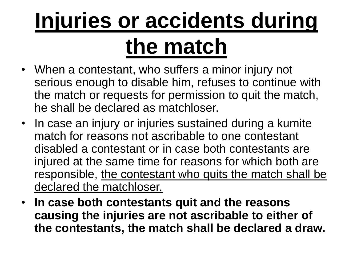# **Injuries or accidents during the match**

- When a contestant, who suffers a minor injury not serious enough to disable him, refuses to continue with the match or requests for permission to quit the match, he shall be declared as matchloser.
- In case an injury or injuries sustained during a kumite match for reasons not ascribable to one contestant disabled a contestant or in case both contestants are injured at the same time for reasons for which both are responsible, the contestant who quits the match shall be declared the matchloser.
- **In case both contestants quit and the reasons causing the injuries are not ascribable to either of the contestants, the match shall be declared a draw.**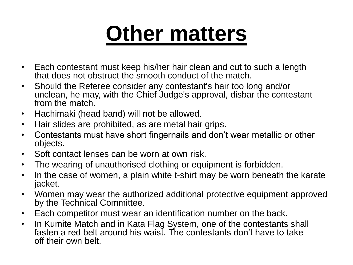#### **Other matters**

- Each contestant must keep his/her hair clean and cut to such a length that does not obstruct the smooth conduct of the match.
- Should the Referee consider any contestant's hair too long and/or unclean, he may, with the Chief Judge's approval, disbar the contestant from the match.
- Hachimaki (head band) will not be allowed.
- Hair slides are prohibited, as are metal hair grips.
- Contestants must have short fingernails and don't wear metallic or other objects.
- Soft contact lenses can be worn at own risk.
- The wearing of unauthorised clothing or equipment is forbidden.
- In the case of women, a plain white t-shirt may be worn beneath the karate jacket.
- Women may wear the authorized additional protective equipment approved by the Technical Committee.
- Each competitor must wear an identification number on the back.
- In Kumite Match and in Kata Flag System, one of the contestants shall fasten a red belt around his waist. The contestants don't have to take off their own belt.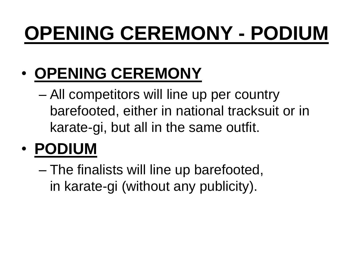#### **OPENING CEREMONY - PODIUM**

- **OPENING CEREMONY**
	- All competitors will line up per country barefooted, either in national tracksuit or in karate-gi, but all in the same outfit.

#### • **PODIUM**

– The finalists will line up barefooted, in karate-gi (without any publicity).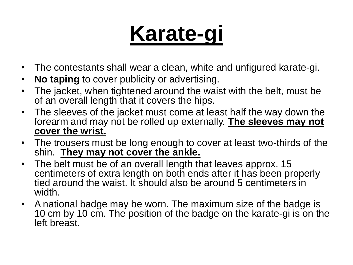#### **Karate-gi**

- The contestants shall wear a clean, white and unfigured karate-gi.
- **No taping** to cover publicity or advertising.
- The jacket, when tightened around the waist with the belt, must be of an overall length that it covers the hips.
- The sleeves of the jacket must come at least half the way down the forearm and may not be rolled up externally. **The sleeves may not cover the wrist.**
- The trousers must be long enough to cover at least two-thirds of the shin. **They may not cover the ankle.**
- The belt must be of an overall length that leaves approx. 15 centimeters of extra length on both ends after it has been properly tied around the waist. It should also be around 5 centimeters in width.
- A national badge may be worn. The maximum size of the badge is 10 cm by 10 cm. The position of the badge on the karate-gi is on the left breast.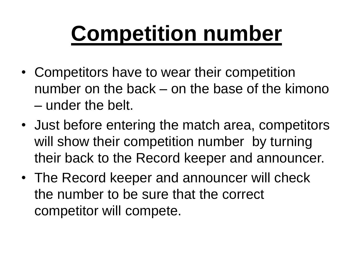## **Competition number**

- Competitors have to wear their competition number on the back – on the base of the kimono – under the belt.
- Just before entering the match area, competitors will show their competition number by turning their back to the Record keeper and announcer.
- The Record keeper and announcer will check the number to be sure that the correct competitor will compete.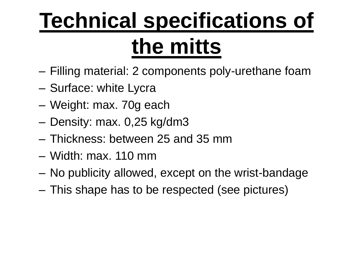# **Technical specifications of the mitts**

- Filling material: 2 components poly-urethane foam
- Surface: white Lycra
- Weight: max. 70g each
- Density: max. 0,25 kg/dm3
- Thickness: between 25 and 35 mm
- Width: max. 110 mm
- No publicity allowed, except on the wrist-bandage
- This shape has to be respected (see pictures)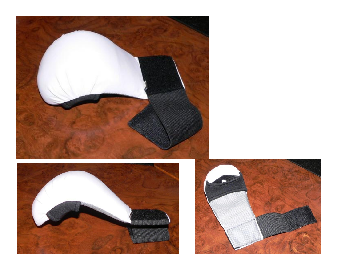



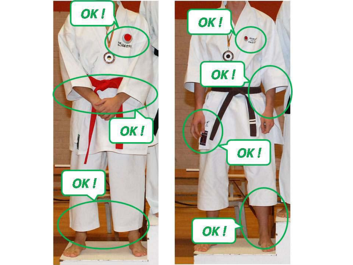

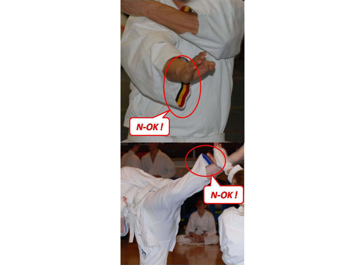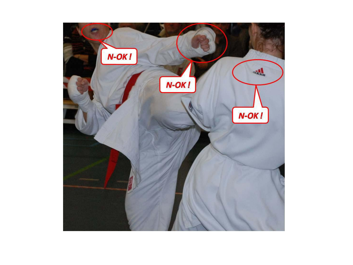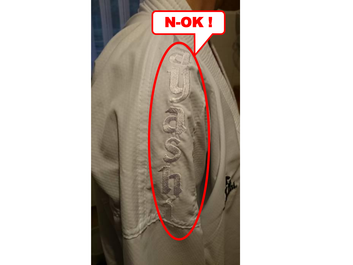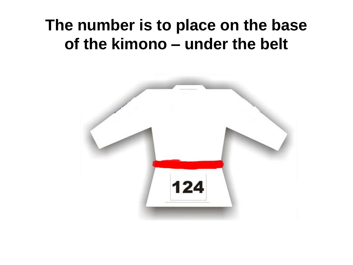#### **The number is to place on the base of the kimono – under the belt**